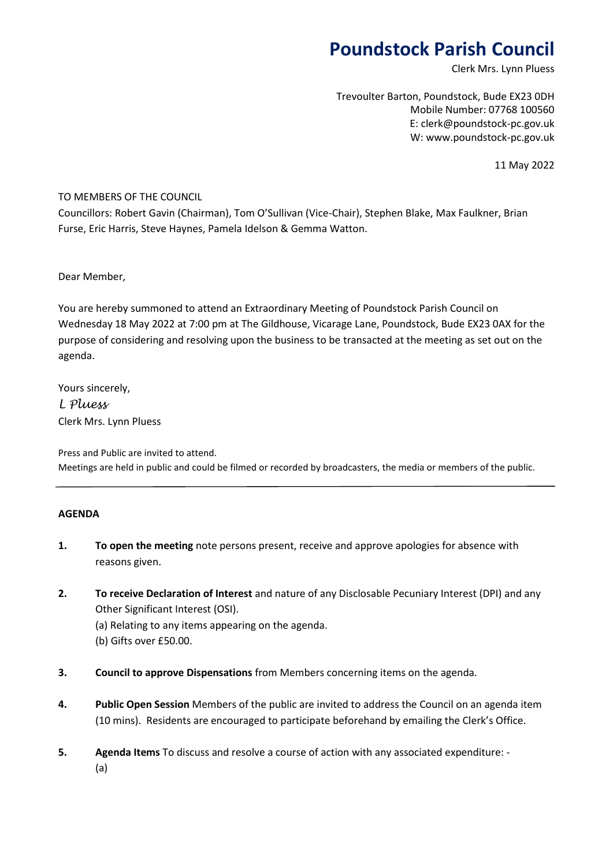# **Poundstock Parish Council**

Clerk Mrs. Lynn Pluess

Trevoulter Barton, Poundstock, Bude EX23 0DH Mobile Number: 07768 100560 E: clerk@poundstock-pc.gov.uk W: www.poundstock-pc.gov.uk

11 May 2022

### TO MEMBERS OF THE COUNCIL

Councillors: Robert Gavin (Chairman), Tom O'Sullivan (Vice-Chair), Stephen Blake, Max Faulkner, Brian Furse, Eric Harris, Steve Haynes, Pamela Idelson & Gemma Watton.

Dear Member,

You are hereby summoned to attend an Extraordinary Meeting of Poundstock Parish Council on Wednesday 18 May 2022 at 7:00 pm at The Gildhouse, Vicarage Lane, Poundstock, Bude EX23 0AX for the purpose of considering and resolving upon the business to be transacted at the meeting as set out on the agenda.

Yours sincerely, *L Pluess* Clerk Mrs. Lynn Pluess

Press and Public are invited to attend. Meetings are held in public and could be filmed or recorded by broadcasters, the media or members of the public.

#### **AGENDA**

- **1. To open the meeting** note persons present, receive and approve apologies for absence with reasons given.
- **2. To receive Declaration of Interest** and nature of any Disclosable Pecuniary Interest (DPI) and any Other Significant Interest (OSI).
	- (a) Relating to any items appearing on the agenda.
	- (b) Gifts over £50.00.
- **3. Council to approve Dispensations** from Members concerning items on the agenda.
- **4. Public Open Session** Members of the public are invited to address the Council on an agenda item (10 mins). Residents are encouraged to participate beforehand by emailing the Clerk's Office.
- **5. Agenda Items** To discuss and resolve a course of action with any associated expenditure: (a)